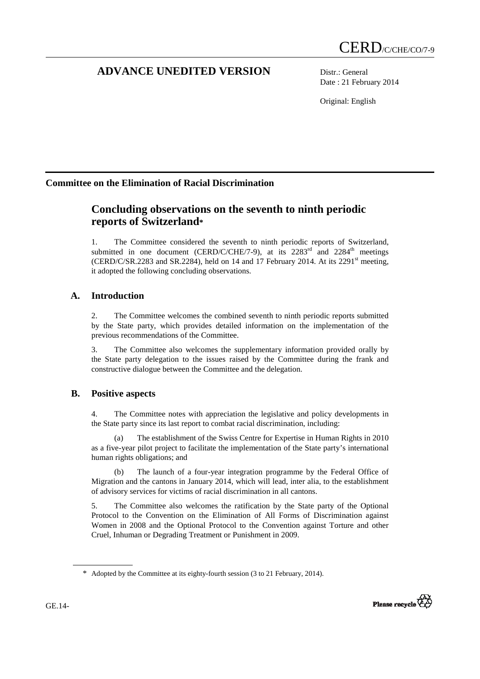# **ADVANCE UNEDITED VERSION** Distr.: General

Date : 21 February 2014

Original: English

# **Committee on the Elimination of Racial Discrimination**

# **Concluding observations on the seventh to ninth periodic reports of Switzerland\***

1. The Committee considered the seventh to ninth periodic reports of Switzerland, submitted in one document (CERD/C/CHE/7-9), at its  $2283<sup>rd</sup>$  and  $2284<sup>th</sup>$  meetings (CERD/C/SR.2283 and SR.2284), held on 14 and 17 February 2014. At its  $2291<sup>st</sup>$  meeting, it adopted the following concluding observations.

# **A. Introduction**

2. The Committee welcomes the combined seventh to ninth periodic reports submitted by the State party, which provides detailed information on the implementation of the previous recommendations of the Committee.

3. The Committee also welcomes the supplementary information provided orally by the State party delegation to the issues raised by the Committee during the frank and constructive dialogue between the Committee and the delegation.

# **B. Positive aspects**

4. The Committee notes with appreciation the legislative and policy developments in the State party since its last report to combat racial discrimination, including:

(a) The establishment of the Swiss Centre for Expertise in Human Rights in 2010 as a five-year pilot project to facilitate the implementation of the State party's international human rights obligations; and

(b) The launch of a four-year integration programme by the Federal Office of Migration and the cantons in January 2014, which will lead, inter alia, to the establishment of advisory services for victims of racial discrimination in all cantons.

5. The Committee also welcomes the ratification by the State party of the Optional Protocol to the Convention on the Elimination of All Forms of Discrimination against Women in 2008 and the Optional Protocol to the Convention against Torture and other Cruel, Inhuman or Degrading Treatment or Punishment in 2009.



 $\overline{a}$ 

<sup>\*</sup> Adopted by the Committee at its eighty-fourth session (3 to 21 February, 2014).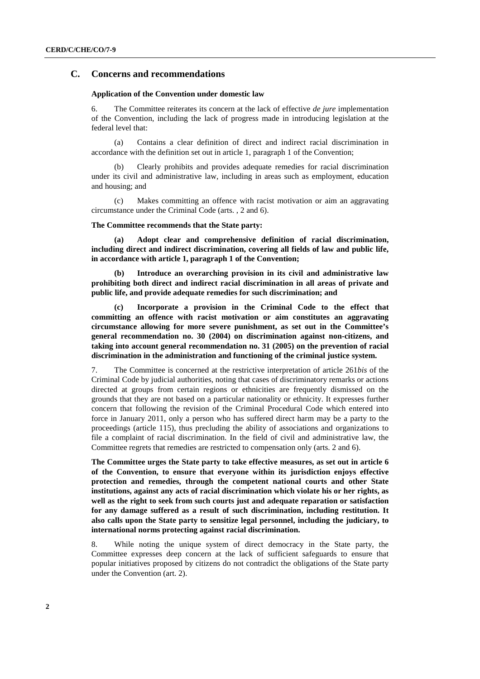# **C. Concerns and recommendations**

#### **Application of the Convention under domestic law**

6. The Committee reiterates its concern at the lack of effective *de jure* implementation of the Convention, including the lack of progress made in introducing legislation at the federal level that:

(a) Contains a clear definition of direct and indirect racial discrimination in accordance with the definition set out in article 1, paragraph 1 of the Convention;

(b) Clearly prohibits and provides adequate remedies for racial discrimination under its civil and administrative law, including in areas such as employment, education and housing; and

(c) Makes committing an offence with racist motivation or aim an aggravating circumstance under the Criminal Code (arts. , 2 and 6).

### **The Committee recommends that the State party:**

**(a) Adopt clear and comprehensive definition of racial discrimination, including direct and indirect discrimination, covering all fields of law and public life, in accordance with article 1, paragraph 1 of the Convention;** 

**(b) Introduce an overarching provision in its civil and administrative law prohibiting both direct and indirect racial discrimination in all areas of private and public life, and provide adequate remedies for such discrimination; and** 

**(c) Incorporate a provision in the Criminal Code to the effect that committing an offence with racist motivation or aim constitutes an aggravating circumstance allowing for more severe punishment, as set out in the Committee's general recommendation no. 30 (2004) on discrimination against non-citizens, and taking into account general recommendation no. 31 (2005) on the prevention of racial discrimination in the administration and functioning of the criminal justice system.** 

7. The Committee is concerned at the restrictive interpretation of article 261*bis* of the Criminal Code by judicial authorities, noting that cases of discriminatory remarks or actions directed at groups from certain regions or ethnicities are frequently dismissed on the grounds that they are not based on a particular nationality or ethnicity. It expresses further concern that following the revision of the Criminal Procedural Code which entered into force in January 2011, only a person who has suffered direct harm may be a party to the proceedings (article 115), thus precluding the ability of associations and organizations to file a complaint of racial discrimination. In the field of civil and administrative law, the Committee regrets that remedies are restricted to compensation only (arts. 2 and 6).

**The Committee urges the State party to take effective measures, as set out in article 6 of the Convention, to ensure that everyone within its jurisdiction enjoys effective protection and remedies, through the competent national courts and other State institutions, against any acts of racial discrimination which violate his or her rights, as well as the right to seek from such courts just and adequate reparation or satisfaction for any damage suffered as a result of such discrimination, including restitution. It also calls upon the State party to sensitize legal personnel, including the judiciary, to international norms protecting against racial discrimination.** 

8. While noting the unique system of direct democracy in the State party, the Committee expresses deep concern at the lack of sufficient safeguards to ensure that popular initiatives proposed by citizens do not contradict the obligations of the State party under the Convention (art. 2).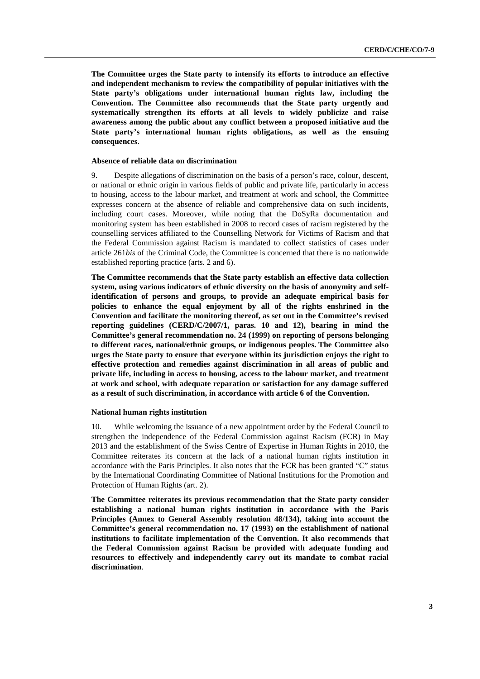**The Committee urges the State party to intensify its efforts to introduce an effective and independent mechanism to review the compatibility of popular initiatives with the State party's obligations under international human rights law, including the Convention. The Committee also recommends that the State party urgently and systematically strengthen its efforts at all levels to widely publicize and raise awareness among the public about any conflict between a proposed initiative and the State party's international human rights obligations, as well as the ensuing consequences**.

#### **Absence of reliable data on discrimination**

9. Despite allegations of discrimination on the basis of a person's race, colour, descent, or national or ethnic origin in various fields of public and private life, particularly in access to housing, access to the labour market, and treatment at work and school, the Committee expresses concern at the absence of reliable and comprehensive data on such incidents, including court cases. Moreover, while noting that the DoSyRa documentation and monitoring system has been established in 2008 to record cases of racism registered by the counselling services affiliated to the Counselling Network for Victims of Racism and that the Federal Commission against Racism is mandated to collect statistics of cases under article 261*bis* of the Criminal Code, the Committee is concerned that there is no nationwide established reporting practice (arts. 2 and 6).

**The Committee recommends that the State party establish an effective data collection system, using various indicators of ethnic diversity on the basis of anonymity and selfidentification of persons and groups, to provide an adequate empirical basis for policies to enhance the equal enjoyment by all of the rights enshrined in the Convention and facilitate the monitoring thereof, as set out in the Committee's revised reporting guidelines (CERD/C/2007/1, paras. 10 and 12), bearing in mind the Committee's general recommendation no. 24 (1999) on reporting of persons belonging to different races, national/ethnic groups, or indigenous peoples. The Committee also urges the State party to ensure that everyone within its jurisdiction enjoys the right to effective protection and remedies against discrimination in all areas of public and private life, including in access to housing, access to the labour market, and treatment at work and school, with adequate reparation or satisfaction for any damage suffered as a result of such discrimination, in accordance with article 6 of the Convention.** 

#### **National human rights institution**

10. While welcoming the issuance of a new appointment order by the Federal Council to strengthen the independence of the Federal Commission against Racism (FCR) in May 2013 and the establishment of the Swiss Centre of Expertise in Human Rights in 2010, the Committee reiterates its concern at the lack of a national human rights institution in accordance with the Paris Principles. It also notes that the FCR has been granted "C" status by the International Coordinating Committee of National Institutions for the Promotion and Protection of Human Rights (art. 2).

**The Committee reiterates its previous recommendation that the State party consider establishing a national human rights institution in accordance with the Paris Principles (Annex to General Assembly resolution 48/134), taking into account the Committee's general recommendation no. 17 (1993) on the establishment of national institutions to facilitate implementation of the Convention. It also recommends that the Federal Commission against Racism be provided with adequate funding and resources to effectively and independently carry out its mandate to combat racial discrimination**.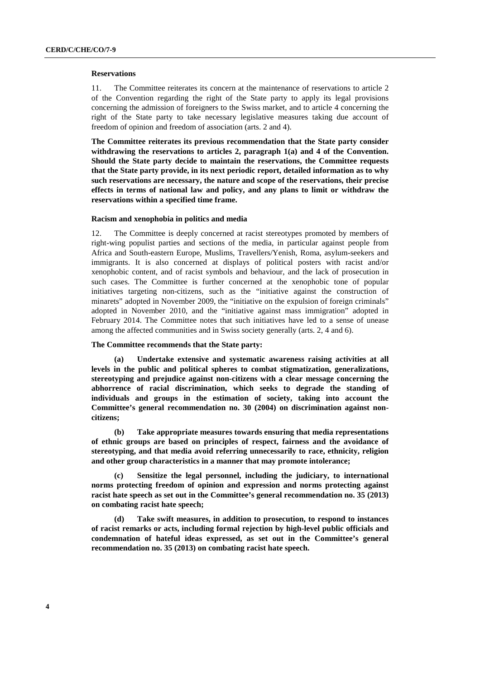#### **Reservations**

11. The Committee reiterates its concern at the maintenance of reservations to article 2 of the Convention regarding the right of the State party to apply its legal provisions concerning the admission of foreigners to the Swiss market, and to article 4 concerning the right of the State party to take necessary legislative measures taking due account of freedom of opinion and freedom of association (arts. 2 and 4).

**The Committee reiterates its previous recommendation that the State party consider withdrawing the reservations to articles 2, paragraph 1(a) and 4 of the Convention. Should the State party decide to maintain the reservations, the Committee requests that the State party provide, in its next periodic report, detailed information as to why such reservations are necessary, the nature and scope of the reservations, their precise effects in terms of national law and policy, and any plans to limit or withdraw the reservations within a specified time frame.** 

#### **Racism and xenophobia in politics and media**

The Committee is deeply concerned at racist stereotypes promoted by members of right-wing populist parties and sections of the media, in particular against people from Africa and South-eastern Europe, Muslims, Travellers/Yenish, Roma, asylum-seekers and immigrants. It is also concerned at displays of political posters with racist and/or xenophobic content, and of racist symbols and behaviour, and the lack of prosecution in such cases. The Committee is further concerned at the xenophobic tone of popular initiatives targeting non-citizens, such as the "initiative against the construction of minarets" adopted in November 2009, the "initiative on the expulsion of foreign criminals" adopted in November 2010, and the "initiative against mass immigration" adopted in February 2014. The Committee notes that such initiatives have led to a sense of unease among the affected communities and in Swiss society generally (arts. 2, 4 and 6).

#### **The Committee recommends that the State party:**

**(a) Undertake extensive and systematic awareness raising activities at all levels in the public and political spheres to combat stigmatization, generalizations, stereotyping and prejudice against non-citizens with a clear message concerning the abhorrence of racial discrimination, which seeks to degrade the standing of individuals and groups in the estimation of society, taking into account the Committee's general recommendation no. 30 (2004) on discrimination against noncitizens;** 

**(b) Take appropriate measures towards ensuring that media representations of ethnic groups are based on principles of respect, fairness and the avoidance of stereotyping, and that media avoid referring unnecessarily to race, ethnicity, religion and other group characteristics in a manner that may promote intolerance;** 

**(c) Sensitize the legal personnel, including the judiciary, to international norms protecting freedom of opinion and expression and norms protecting against racist hate speech as set out in the Committee's general recommendation no. 35 (2013) on combating racist hate speech;** 

**(d) Take swift measures, in addition to prosecution, to respond to instances of racist remarks or acts, including formal rejection by high-level public officials and condemnation of hateful ideas expressed, as set out in the Committee's general recommendation no. 35 (2013) on combating racist hate speech.**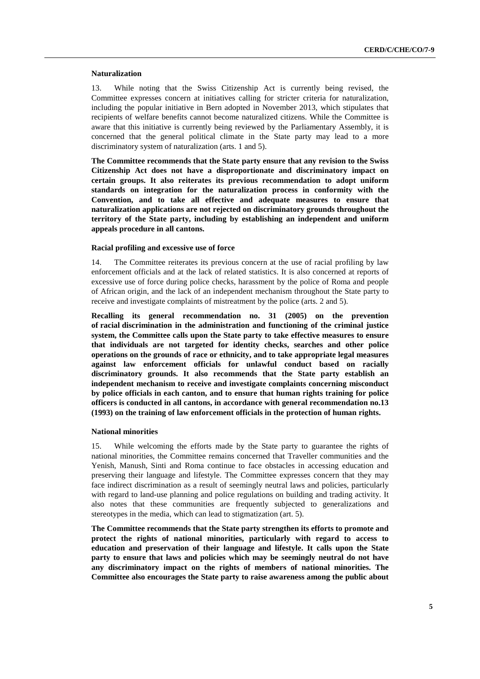#### **Naturalization**

13. While noting that the Swiss Citizenship Act is currently being revised, the Committee expresses concern at initiatives calling for stricter criteria for naturalization, including the popular initiative in Bern adopted in November 2013, which stipulates that recipients of welfare benefits cannot become naturalized citizens. While the Committee is aware that this initiative is currently being reviewed by the Parliamentary Assembly, it is concerned that the general political climate in the State party may lead to a more discriminatory system of naturalization (arts. 1 and 5).

**The Committee recommends that the State party ensure that any revision to the Swiss Citizenship Act does not have a disproportionate and discriminatory impact on certain groups. It also reiterates its previous recommendation to adopt uniform standards on integration for the naturalization process in conformity with the Convention, and to take all effective and adequate measures to ensure that naturalization applications are not rejected on discriminatory grounds throughout the territory of the State party, including by establishing an independent and uniform appeals procedure in all cantons.** 

#### **Racial profiling and excessive use of force**

14. The Committee reiterates its previous concern at the use of racial profiling by law enforcement officials and at the lack of related statistics. It is also concerned at reports of excessive use of force during police checks, harassment by the police of Roma and people of African origin, and the lack of an independent mechanism throughout the State party to receive and investigate complaints of mistreatment by the police (arts. 2 and 5).

**Recalling its general recommendation no. 31 (2005) on the prevention of racial discrimination in the administration and functioning of the criminal justice system, the Committee calls upon the State party to take effective measures to ensure that individuals are not targeted for identity checks, searches and other police operations on the grounds of race or ethnicity, and to take appropriate legal measures against law enforcement officials for unlawful conduct based on racially discriminatory grounds. It also recommends that the State party establish an independent mechanism to receive and investigate complaints concerning misconduct by police officials in each canton, and to ensure that human rights training for police officers is conducted in all cantons, in accordance with general recommendation no.13 (1993) on the training of law enforcement officials in the protection of human rights.** 

#### **National minorities**

15. While welcoming the efforts made by the State party to guarantee the rights of national minorities, the Committee remains concerned that Traveller communities and the Yenish, Manush, Sinti and Roma continue to face obstacles in accessing education and preserving their language and lifestyle. The Committee expresses concern that they may face indirect discrimination as a result of seemingly neutral laws and policies, particularly with regard to land-use planning and police regulations on building and trading activity. It also notes that these communities are frequently subjected to generalizations and stereotypes in the media, which can lead to stigmatization (art. 5).

**The Committee recommends that the State party strengthen its efforts to promote and protect the rights of national minorities, particularly with regard to access to education and preservation of their language and lifestyle. It calls upon the State party to ensure that laws and policies which may be seemingly neutral do not have any discriminatory impact on the rights of members of national minorities. The Committee also encourages the State party to raise awareness among the public about**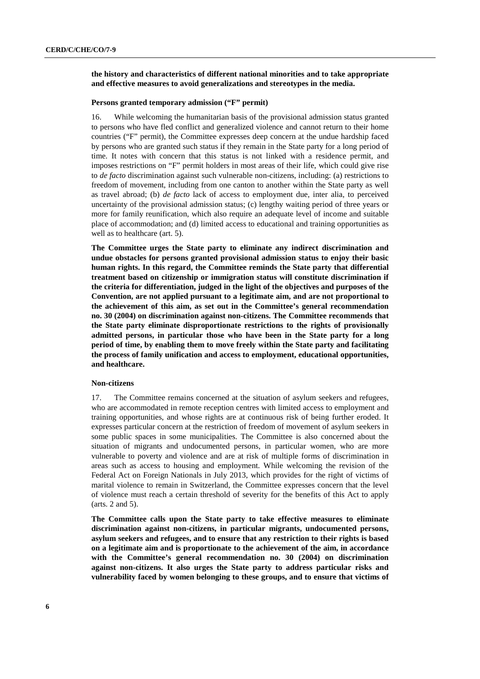# **the history and characteristics of different national minorities and to take appropriate and effective measures to avoid generalizations and stereotypes in the media.**

## **Persons granted temporary admission ("F" permit)**

16. While welcoming the humanitarian basis of the provisional admission status granted to persons who have fled conflict and generalized violence and cannot return to their home countries ("F" permit), the Committee expresses deep concern at the undue hardship faced by persons who are granted such status if they remain in the State party for a long period of time. It notes with concern that this status is not linked with a residence permit, and imposes restrictions on "F" permit holders in most areas of their life, which could give rise to *de facto* discrimination against such vulnerable non-citizens, including: (a) restrictions to freedom of movement, including from one canton to another within the State party as well as travel abroad; (b) *de facto* lack of access to employment due, inter alia, to perceived uncertainty of the provisional admission status; (c) lengthy waiting period of three years or more for family reunification, which also require an adequate level of income and suitable place of accommodation; and (d) limited access to educational and training opportunities as well as to healthcare (art. 5).

**The Committee urges the State party to eliminate any indirect discrimination and undue obstacles for persons granted provisional admission status to enjoy their basic human rights. In this regard, the Committee reminds the State party that differential treatment based on citizenship or immigration status will constitute discrimination if the criteria for differentiation, judged in the light of the objectives and purposes of the Convention, are not applied pursuant to a legitimate aim, and are not proportional to the achievement of this aim, as set out in the Committee's general recommendation no. 30 (2004) on discrimination against non-citizens. The Committee recommends that the State party eliminate disproportionate restrictions to the rights of provisionally admitted persons, in particular those who have been in the State party for a long period of time, by enabling them to move freely within the State party and facilitating the process of family unification and access to employment, educational opportunities, and healthcare.** 

### **Non-citizens**

17. The Committee remains concerned at the situation of asylum seekers and refugees, who are accommodated in remote reception centres with limited access to employment and training opportunities, and whose rights are at continuous risk of being further eroded. It expresses particular concern at the restriction of freedom of movement of asylum seekers in some public spaces in some municipalities. The Committee is also concerned about the situation of migrants and undocumented persons, in particular women, who are more vulnerable to poverty and violence and are at risk of multiple forms of discrimination in areas such as access to housing and employment. While welcoming the revision of the Federal Act on Foreign Nationals in July 2013, which provides for the right of victims of marital violence to remain in Switzerland, the Committee expresses concern that the level of violence must reach a certain threshold of severity for the benefits of this Act to apply (arts. 2 and 5).

**The Committee calls upon the State party to take effective measures to eliminate discrimination against non-citizens, in particular migrants, undocumented persons, asylum seekers and refugees, and to ensure that any restriction to their rights is based on a legitimate aim and is proportionate to the achievement of the aim, in accordance with the Committee's general recommendation no. 30 (2004) on discrimination against non-citizens. It also urges the State party to address particular risks and vulnerability faced by women belonging to these groups, and to ensure that victims of**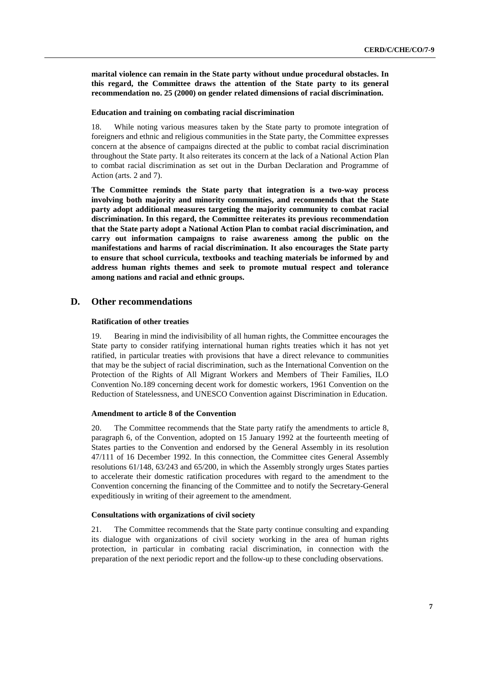**marital violence can remain in the State party without undue procedural obstacles. In this regard, the Committee draws the attention of the State party to its general recommendation no. 25 (2000) on gender related dimensions of racial discrimination.** 

#### **Education and training on combating racial discrimination**

18. While noting various measures taken by the State party to promote integration of foreigners and ethnic and religious communities in the State party, the Committee expresses concern at the absence of campaigns directed at the public to combat racial discrimination throughout the State party. It also reiterates its concern at the lack of a National Action Plan to combat racial discrimination as set out in the Durban Declaration and Programme of Action (arts. 2 and 7).

**The Committee reminds the State party that integration is a two-way process involving both majority and minority communities, and recommends that the State party adopt additional measures targeting the majority community to combat racial discrimination. In this regard, the Committee reiterates its previous recommendation that the State party adopt a National Action Plan to combat racial discrimination, and carry out information campaigns to raise awareness among the public on the manifestations and harms of racial discrimination. It also encourages the State party to ensure that school curricula, textbooks and teaching materials be informed by and address human rights themes and seek to promote mutual respect and tolerance among nations and racial and ethnic groups.** 

# **D. Other recommendations**

### **Ratification of other treaties**

19. Bearing in mind the indivisibility of all human rights, the Committee encourages the State party to consider ratifying international human rights treaties which it has not yet ratified, in particular treaties with provisions that have a direct relevance to communities that may be the subject of racial discrimination, such as the International Convention on the Protection of the Rights of All Migrant Workers and Members of Their Families, ILO Convention No.189 concerning decent work for domestic workers, 1961 Convention on the Reduction of Statelessness, and UNESCO Convention against Discrimination in Education.

#### **Amendment to article 8 of the Convention**

20. The Committee recommends that the State party ratify the amendments to article 8, paragraph 6, of the Convention, adopted on 15 January 1992 at the fourteenth meeting of States parties to the Convention and endorsed by the General Assembly in its resolution 47/111 of 16 December 1992. In this connection, the Committee cites General Assembly resolutions 61/148, 63/243 and 65/200, in which the Assembly strongly urges States parties to accelerate their domestic ratification procedures with regard to the amendment to the Convention concerning the financing of the Committee and to notify the Secretary-General expeditiously in writing of their agreement to the amendment.

## **Consultations with organizations of civil society**

21. The Committee recommends that the State party continue consulting and expanding its dialogue with organizations of civil society working in the area of human rights protection, in particular in combating racial discrimination, in connection with the preparation of the next periodic report and the follow-up to these concluding observations.